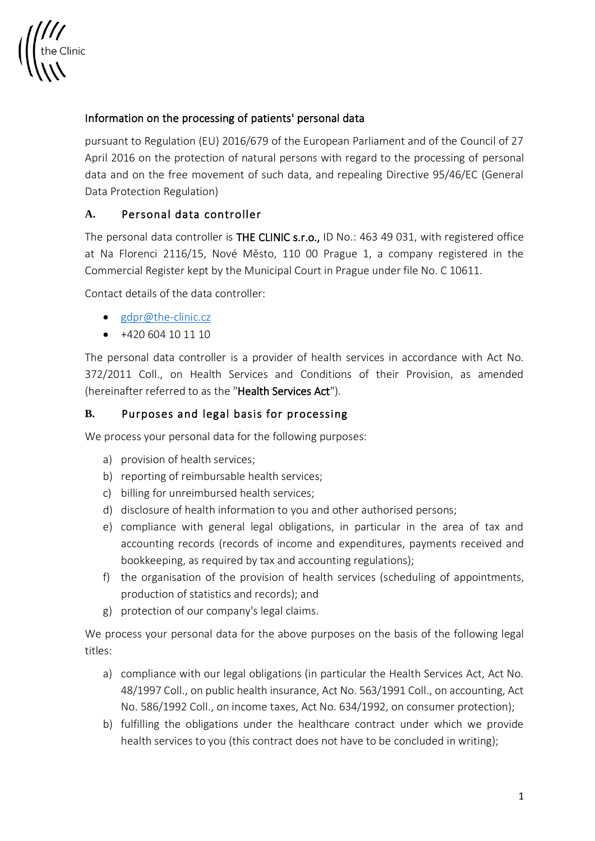

## Information on the processing of patients' personal data

pursuant to Regulation (EU) 2016/679 of the European Parliament and of the Council of 27 April 2016 on the protection of natural persons with regard to the processing of personal data and on the free movement of such data, and repealing Directive 95/46/EC (General Data Protection Regulation)

### **A.** Personal data controller

The personal data controller is THE CLINIC s.r.o., ID No.: 463 49 031, with registered office at Na Florenci 2116/15, Nové Město, 110 00 Prague 1, a company registered in the Commercial Register kept by the Municipal Court in Prague under file No. C 10611.

Contact details of the data controller:

- gdpr@the-clinic.cz
- +420 604 10 11 10

The personal data controller is a provider of health services in accordance with Act No. 372/2011 Coll., on Health Services and Conditions of their Provision, as amended (hereinafter referred to as the "Health Services Act").

### **B.** Purposes and legal basis for processing

We process your personal data for the following purposes:

- a) provision of health services;
- b) reporting of reimbursable health services;
- c) billing for unreimbursed health services;
- d) disclosure of health information to you and other authorised persons;
- e) compliance with general legal obligations, in particular in the area of tax and accounting records (records of income and expenditures, payments received and bookkeeping, as required by tax and accounting regulations);
- f) the organisation of the provision of health services (scheduling of appointments, production of statistics and records); and
- g) protection of our company's legal claims.

We process your personal data for the above purposes on the basis of the following legal titles:

- a) compliance with our legal obligations (in particular the Health Services Act, Act No. 48/1997 Coll., on public health insurance, Act No. 563/1991 Coll., on accounting, Act No. 586/1992 Coll., on income taxes, Act No. 634/1992, on consumer protection);
- b) fulfilling the obligations under the healthcare contract under which we provide health services to you (this contract does not have to be concluded in writing);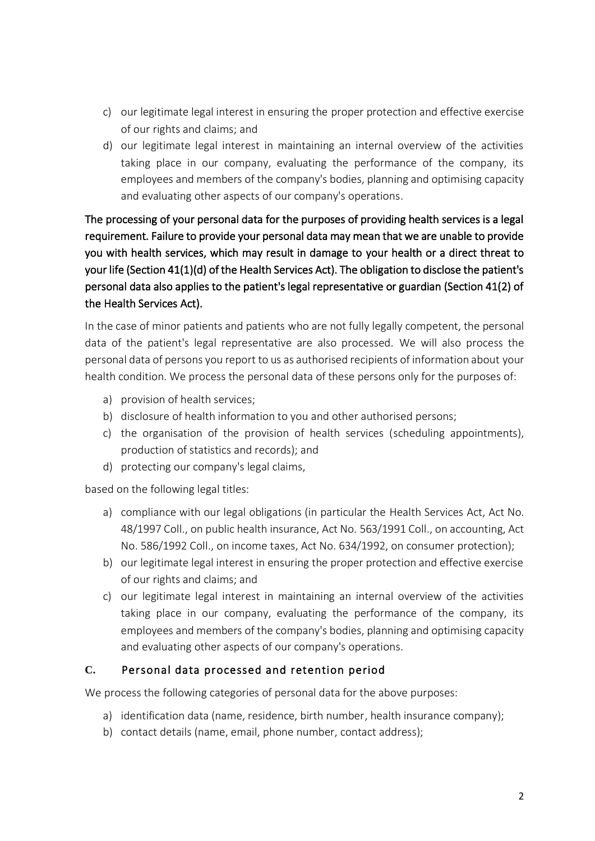- c) our legitimate legal interest in ensuring the proper protection and effective exercise of our rights and claims; and
- d) our legitimate legal interest in maintaining an internal overview of the activities taking place in our company, evaluating the performance of the company, its employees and members of the company's bodies, planning and optimising capacity and evaluating other aspects of our company's operations.

The processing of your personal data for the purposes of providing health services is a legal requirement. Failure to provide your personal data may mean that we are unable to provide you with health services, which may result in damage to your health or a direct threat to your life (Section 41(1)(d) of the Health Services Act). The obligation to disclose the patient's personal data also applies to the patient's legal representative or guardian (Section 41(2) of the Health Services Act).

In the case of minor patients and patients who are not fully legally competent, the personal data of the patient's legal representative are also processed. We will also process the personal data of persons you report to us as authorised recipients of information about your health condition. We process the personal data of these persons only for the purposes of:

- a) provision of health services;
- b) disclosure of health information to you and other authorised persons;
- c) the organisation of the provision of health services (scheduling appointments), production of statistics and records); and
- d) protecting our company's legal claims,

based on the following legal titles:

- a) compliance with our legal obligations (in particular the Health Services Act, Act No. 48/1997 Coll., on public health insurance, Act No. 563/1991 Coll., on accounting, Act No. 586/1992 Coll., on income taxes, Act No. 634/1992, on consumer protection);
- b) our legitimate legal interest in ensuring the proper protection and effective exercise of our rights and claims; and
- c) our legitimate legal interest in maintaining an internal overview of the activities taking place in our company, evaluating the performance of the company, its employees and members of the company's bodies, planning and optimising capacity and evaluating other aspects of our company's operations.

## **C.** Personal data processed and retention period

We process the following categories of personal data for the above purposes:

- a) identification data (name, residence, birth number, health insurance company);
- b) contact details (name, email, phone number, contact address);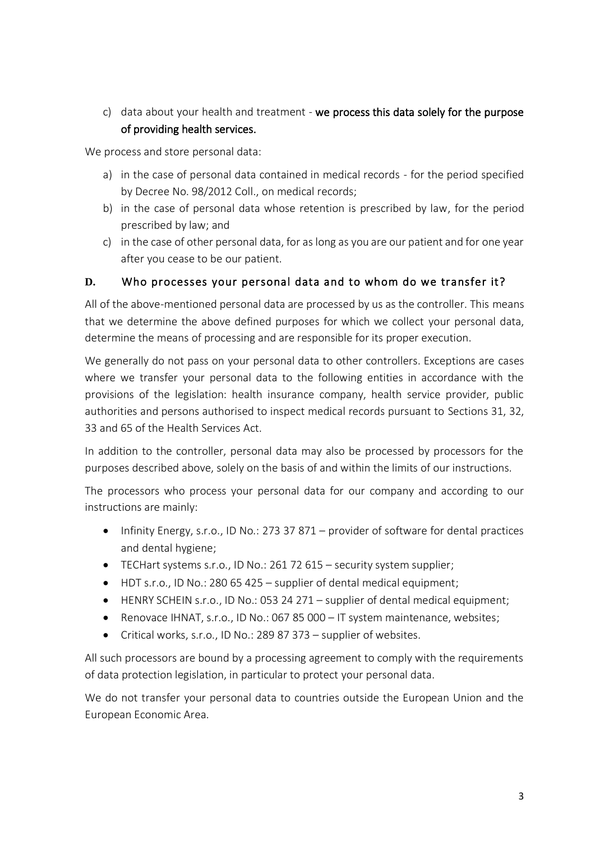c) data about your health and treatment - we process this data solely for the purpose of providing health services.

We process and store personal data:

- a) in the case of personal data contained in medical records for the period specified by Decree No. 98/2012 Coll., on medical records;
- b) in the case of personal data whose retention is prescribed by law, for the period prescribed by law; and
- c) in the case of other personal data, for as long as you are our patient and for one year after you cease to be our patient.

## **D.** Who processes your personal data and to whom do we transfer it?

All of the above-mentioned personal data are processed by us as the controller. This means that we determine the above defined purposes for which we collect your personal data, determine the means of processing and are responsible for its proper execution.

We generally do not pass on your personal data to other controllers. Exceptions are cases where we transfer your personal data to the following entities in accordance with the provisions of the legislation: health insurance company, health service provider, public authorities and persons authorised to inspect medical records pursuant to Sections 31, 32, 33 and 65 of the Health Services Act.

In addition to the controller, personal data may also be processed by processors for the purposes described above, solely on the basis of and within the limits of our instructions.

The processors who process your personal data for our company and according to our instructions are mainly:

- Infinity Energy, s.r.o., ID No.: 273 37 871 provider of software for dental practices and dental hygiene;
- TECHart systems s.r.o., ID No.: 261 72 615 security system supplier;
- HDT s.r.o., ID No.: 280 65 425 supplier of dental medical equipment;
- HENRY SCHEIN s.r.o., ID No.: 053 24 271 supplier of dental medical equipment;
- Renovace IHNAT, s.r.o., ID No.: 067 85 000 IT system maintenance, websites;
- Critical works, s.r.o., ID No.: 289 87 373 supplier of websites.

All such processors are bound by a processing agreement to comply with the requirements of data protection legislation, in particular to protect your personal data.

We do not transfer your personal data to countries outside the European Union and the European Economic Area.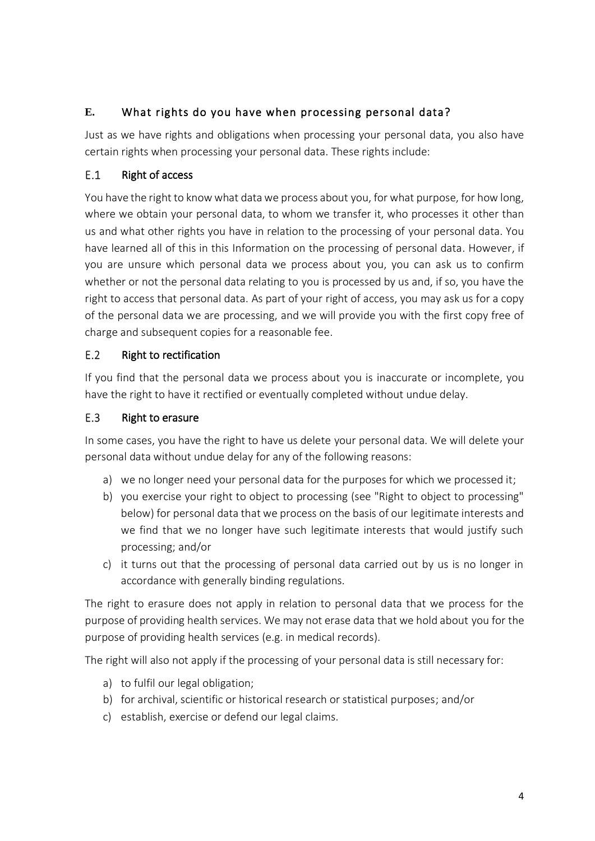# **E.** What rights do you have when processing personal data?

Just as we have rights and obligations when processing your personal data, you also have certain rights when processing your personal data. These rights include:

### $E.1$ Right of access

You have the right to know what data we process about you, for what purpose, for how long, where we obtain your personal data, to whom we transfer it, who processes it other than us and what other rights you have in relation to the processing of your personal data. You have learned all of this in this Information on the processing of personal data. However, if you are unsure which personal data we process about you, you can ask us to confirm whether or not the personal data relating to you is processed by us and, if so, you have the right to access that personal data. As part of your right of access, you may ask us for a copy of the personal data we are processing, and we will provide you with the first copy free of charge and subsequent copies for a reasonable fee.

#### Right to rectification  $E.2$

If you find that the personal data we process about you is inaccurate or incomplete, you have the right to have it rectified or eventually completed without undue delay.

#### E.3 Right to erasure

In some cases, you have the right to have us delete your personal data. We will delete your personal data without undue delay for any of the following reasons:

- a) we no longer need your personal data for the purposes for which we processed it;
- b) you exercise your right to object to processing (see "Right to object to processing" below) for personal data that we process on the basis of our legitimate interests and we find that we no longer have such legitimate interests that would justify such processing; and/or
- c) it turns out that the processing of personal data carried out by us is no longer in accordance with generally binding regulations.

The right to erasure does not apply in relation to personal data that we process for the purpose of providing health services. We may not erase data that we hold about you for the purpose of providing health services (e.g. in medical records).

The right will also not apply if the processing of your personal data is still necessary for:

- a) to fulfil our legal obligation;
- b) for archival, scientific or historical research or statistical purposes; and/or
- c) establish, exercise or defend our legal claims.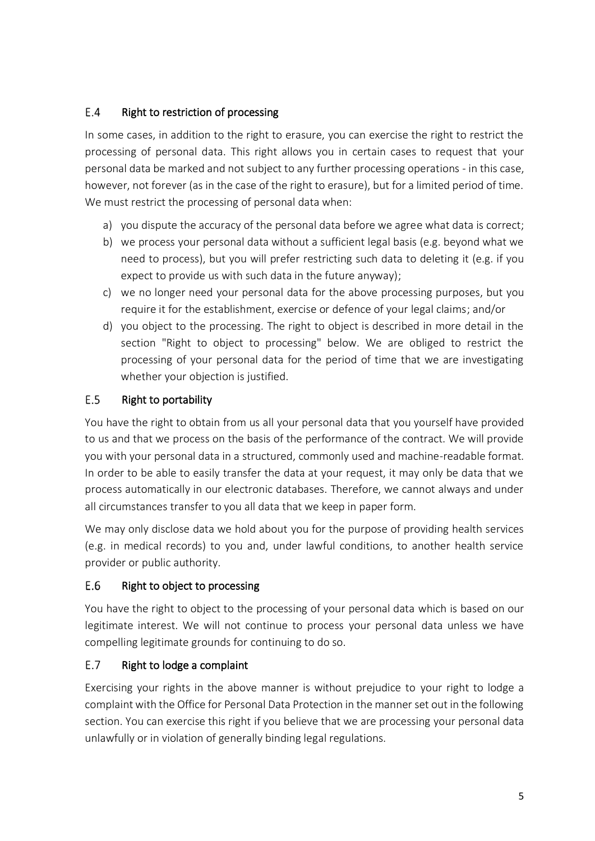### $E.4$ Right to restriction of processing

In some cases, in addition to the right to erasure, you can exercise the right to restrict the processing of personal data. This right allows you in certain cases to request that your personal data be marked and not subject to any further processing operations - in this case, however, not forever (as in the case of the right to erasure), but for a limited period of time. We must restrict the processing of personal data when:

- a) you dispute the accuracy of the personal data before we agree what data is correct;
- b) we process your personal data without a sufficient legal basis (e.g. beyond what we need to process), but you will prefer restricting such data to deleting it (e.g. if you expect to provide us with such data in the future anyway);
- c) we no longer need your personal data for the above processing purposes, but you require it for the establishment, exercise or defence of your legal claims; and/or
- d) you object to the processing. The right to object is described in more detail in the section "Right to object to processing" below. We are obliged to restrict the processing of your personal data for the period of time that we are investigating whether your objection is justified.

#### $E.5$ Right to portability

You have the right to obtain from us all your personal data that you yourself have provided to us and that we process on the basis of the performance of the contract. We will provide you with your personal data in a structured, commonly used and machine-readable format. In order to be able to easily transfer the data at your request, it may only be data that we process automatically in our electronic databases. Therefore, we cannot always and under all circumstances transfer to you all data that we keep in paper form.

We may only disclose data we hold about you for the purpose of providing health services (e.g. in medical records) to you and, under lawful conditions, to another health service provider or public authority.

### E.6 Right to object to processing

You have the right to object to the processing of your personal data which is based on our legitimate interest. We will not continue to process your personal data unless we have compelling legitimate grounds for continuing to do so.

### E.7 Right to lodge a complaint

Exercising your rights in the above manner is without prejudice to your right to lodge a complaint with the Office for Personal Data Protection in the manner set out in the following section. You can exercise this right if you believe that we are processing your personal data unlawfully or in violation of generally binding legal regulations.